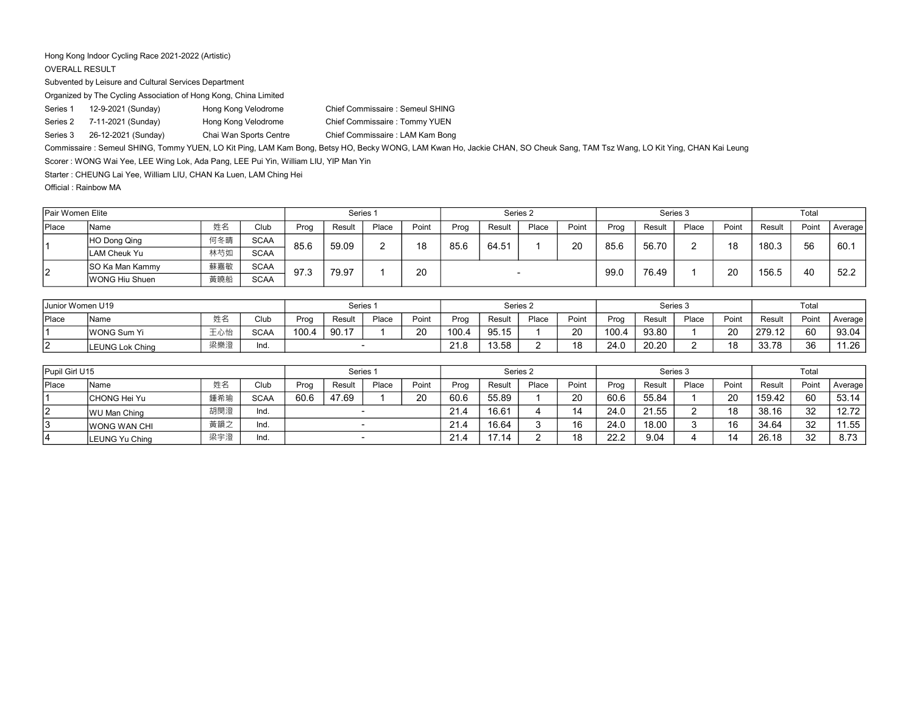## Hong Kong Indoor Cycling Race 2021-2022 (Artistic)

## OVERALL RESULT

Subvented by Leisure and Cultural Services Department

Organized by The Cycling Association of Hong Kong, China Limited

Series 1 12-9-2021 (Sunday) Hong Kong Velodrome Chief Commissaire : Semeul SHING Series 2 7-11-2021 (Sunday) Hong Kong Velodrome Chief Commissaire : Tommy YUEN Series 3 26-12-2021 (Sunday) Chai Wan Sports Centre Chief Commissaire : LAM Kam Bong

Commissaire : Semeul SHING, Tommy YUEN, LO Kit Ping, LAM Kam Bong, Betsy HO, Becky WONG, LAM Kwan Ho, Jackie CHAN, SO Cheuk Sang, TAM Tsz Wang, LO Kit Ying, CHAN Kai Leung

Scorer : WONG Wai Yee, LEE Wing Lok, Ada Pang, LEE Pui Yin, William LIU, YIP Man Yin

Starter : CHEUNG Lai Yee, William LIU, CHAN Ka Luen, LAM Ching Hei

Official : Rainbow MA

| <b>Pair Women Elite</b> |                        |     |             |      | Series <sub>1</sub> |       |       |      |        | Series 2 |       |      |        | Series 3 |       |        | Total |         |
|-------------------------|------------------------|-----|-------------|------|---------------------|-------|-------|------|--------|----------|-------|------|--------|----------|-------|--------|-------|---------|
| Place                   | Name                   | 姓名  | Club        | Prog | Result              | Place | Point | Prog | Result | Place    | Point | Prog | Result | Place    | Point | Result | Point | Average |
|                         | HO Dong Qing           | 何冬晴 | <b>SCAA</b> | 85.6 | 59.09               |       | 18    | 85.6 | 64.51  |          | 20    | 85.6 | 56.70  |          | 18    | 180.3  | 56    | 60.7    |
|                         | <b>ILAM Cheuk Yu</b>   | 林芍如 | <b>SCAA</b> |      |                     |       |       |      |        |          |       |      |        |          |       |        |       |         |
| 12                      | <b>SO Ka Man Kammy</b> | 蘇嘉敏 | <b>SCAA</b> | 97.3 | 79.97               |       | 20    |      |        |          |       | 99.0 | 76.49  |          | 20    | 156.5  | 40    | 52.2    |
|                         | WONG Hiu Shuen         | 黃曉船 | <b>SCAA</b> |      |                     |       |       |      |        |          |       |      |        |          |       |        |       |         |

| <b>Junior Women U19</b> |                        |     |             |       | Series <sup>1</sup> |       |       |       | Series 2 |       |       |       |        | Series 3 |       |        | Total |         |
|-------------------------|------------------------|-----|-------------|-------|---------------------|-------|-------|-------|----------|-------|-------|-------|--------|----------|-------|--------|-------|---------|
| Place                   | Name                   | 姓名  | Club        | Prod  | Resulu              | Place | Point | Prog  | Result   | Place | Point | Prog  | Resulì | Place    | Point | Result | Point | Average |
|                         | WONG Sum Yi            | 王心怡 | <b>SCAA</b> | 100.4 | 90.17               |       | 20    | 100.4 | 95.15    |       | 20    | ے 100 | 93.80  |          | 20    | 279.12 | 60    | 93.04   |
|                         | <b>LEUNG Lok Ching</b> | 梁樂澄 | Ind.        |       |                     |       |       | 21.8  | 13.58    |       | 18    | 24.0  | 20.20  |          | 18    | 33.78  | 36    | 11.26   |

| Pupil Girl U15 |                      |     |             |      | Series <sub>1</sub> |       |       |      |        | Series 2 |       |      | Series 3 |       |       |        | Total |         |
|----------------|----------------------|-----|-------------|------|---------------------|-------|-------|------|--------|----------|-------|------|----------|-------|-------|--------|-------|---------|
| <b>Place</b>   | <b>Name</b>          | 姓名  | Club        | Proc | Result              | Place | Point | Prog | Result | Place    | Point | Prog | Result   | Place | Point | Result | Point | Average |
|                | lCHONG Hei Yu        | 鍾希瑜 | <b>SCAA</b> | 60.6 | 47.69               |       | 20    | 60.6 | 55.89  |          | 20    | 60.6 | 55.84    |       | 20    | 159.42 | 60    | 53.14   |
| 12             | WU Man Ching         | 胡閔澄 | Ind.        |      |                     |       |       |      | 16.61  |          | 14    | 24.0 | 21.55    |       | 18    | 38.16  | 32    | 12.72   |
| 13             | <b>IWONG WAN CHI</b> | 黃韻之 | Ind.        |      |                     |       |       | 21.4 | 16.64  |          | 16    | 24.0 | 18.00    |       | 16    | 34.64  | 32    | 1.55    |
| 14             | LEUNG Yu China       | 梁宇澄 | Ind.        |      |                     |       |       | 21.4 | 1714   |          | 18    | 22.2 | 9.04     |       | 14    | 26.18  | 32    | 8.73    |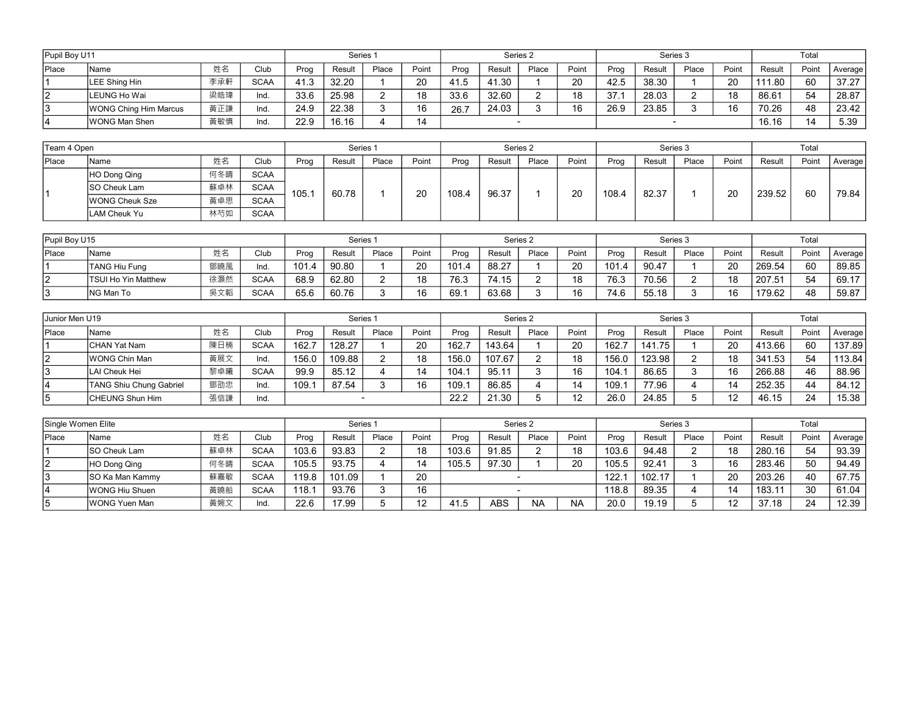| Pupil Boy U11 |                       |     |                       |      | Series <sub>1</sub> |       |       |           |        | Series 2 |       |                          |        | Series 3 |       |        | Total |         |
|---------------|-----------------------|-----|-----------------------|------|---------------------|-------|-------|-----------|--------|----------|-------|--------------------------|--------|----------|-------|--------|-------|---------|
| <b>Place</b>  | IName                 | 姓名  | Club                  | Prog | Result              | Place | Point | Prog      | Result | Place    | Point | Proa                     | Result | Place    | Point | Result | Point | Average |
|               | LEE Shing Hin         | 李承軒 | <b>SCAA</b>           | 41.3 | 32.20               |       | 20    | 41.5<br>. | 41.30  |          | 20    | 42.5                     | 38.30  |          | 20    | 111.80 | 60    | 37.27   |
| 12            | LEUNG Ho Wai          | 梁皓瑋 | Ind.                  | 33.6 | 25.98               |       | 18    | 33.6      | 32.60  |          | 18    | 27 <sub>1</sub><br>. ، ب | 28.03  |          | 18    | 86.61  | 54    | 28.87   |
| 13            | WONG Ching Him Marcus | 黃正謙 | Ind.                  | 24.9 | 22.38               |       | 16    | 26.7      | 24.03  |          | 16    | 26.9                     | 23.85  |          | 16    | 70.26  | 48    | 23.42   |
|               | WONG Man Shen         | 黃敏慎 | 16.16<br>22.9<br>Ind. |      |                     |       | 14    |           |        |          |       |                          |        |          |       | 16.16  | 14    | 5.39    |

| Team 4 Open |                       |     |             |       | Series 1 |       |       |       |        | Series 2 |       |       | Series 3 |       |       |        | Total |         |
|-------------|-----------------------|-----|-------------|-------|----------|-------|-------|-------|--------|----------|-------|-------|----------|-------|-------|--------|-------|---------|
| Place       | <b>IName</b>          | 姓名  | Club        | Prog  | Result   | Place | Point | Prog  | Result | Place    | Point | Prog  | Result   | Place | Point | Result | Point | Average |
|             | HO Dong Qing          | 何冬晴 | <b>SCAA</b> |       |          |       |       |       |        |          |       |       |          |       |       |        |       |         |
|             | <b>SO Cheuk Lam</b>   | 蘇卓林 | <b>SCAA</b> | 105.1 | 60.78    |       | 20    | 108.4 | 96.37  |          | 20    | 108.4 | 82.37    |       | 20    | 239.52 | 60    | 79.84   |
|             | <b>WONG Cheuk Sze</b> | 黃卓思 | <b>SCAA</b> |       |          |       |       |       |        |          |       |       |          |       |       |        |       |         |
|             | LAM Cheuk Yu          | 林芍如 | <b>SCAA</b> |       |          |       |       |       |        |          |       |       |          |       |       |        |       |         |

| Pupil Boy U15 |                            |     |             |       | Series <sub>1</sub> |       |       |       |               | Series <sub>2</sub> |       |       | Series 3 |       |       |        | Total |         |
|---------------|----------------------------|-----|-------------|-------|---------------------|-------|-------|-------|---------------|---------------------|-------|-------|----------|-------|-------|--------|-------|---------|
| <b>Place</b>  | lName.                     | 姓名  | Club        | Proc  | Result              | Place | Point | Prog  | Result        | Place               | Point | Proc  | Result   | Place | Point | Result | Point | Average |
|               | <b>TANG Hiu Fung</b>       | 鄧曉風 | Ind.        | 101.4 | 90.80               |       | 20    | 101.4 | 88.27         |                     | 20    | 101.4 | 90.47    |       | 20    | 269.54 | 60    | 89.85   |
|               | <b>TSUI Ho Yin Matthew</b> | 徐灝然 | <b>SCAA</b> | 68.9  | 62.80               |       | 18    | 76.3  | 74 15<br>. וט |                     | 18    | 76.3  | 70.56    |       | 18    | 207.51 | 54    | 69.17   |
|               | ING Man To                 | 吳文韜 | <b>SCAA</b> | 65.6  | 60.76               |       | 16    | 69.7  | 63.68         |                     | 16    | 74.6  | 55.18    |       | 16    | 179.62 | 48    | 59.87   |

| Uunior Men U19 |                         |     |             |       | Series 1 |       |       |       |        | Series 2 |       |       | Series 3 |       |       |        | Total |         |
|----------------|-------------------------|-----|-------------|-------|----------|-------|-------|-------|--------|----------|-------|-------|----------|-------|-------|--------|-------|---------|
| Place          | Name                    | 姓名  | Club        | Prog  | Result   | Place | Point | Prog  | Result | Place    | Point | Prog  | Result   | Place | Point | Result | Point | Average |
|                | ICHAN Yat Nam           | 陳日楠 | <b>SCAA</b> | 162.7 | 128.27   |       | 20    | 162.7 | 143.64 |          | 20    | 162.7 | 141.75   |       | 20    | 413.66 | 60    | 137.89  |
|                | <b>IWONG Chin Man</b>   | 黃展文 | Ind.        | 156.0 | 109.88   |       | 18    | 156.0 | 107.67 |          | 18    | 156.0 | 123.98   |       | 18    | 341.53 | 54    | 113.84  |
|                | LAI Cheuk Hei           | 黎卓曦 | <b>SCAA</b> | 99.9  | 85.12    |       | 14    | 104.1 | 95.11  |          | 16    | 104.  | 86.65    |       | 16    | 266.88 | 46    | 88.96   |
|                | TANG Shiu Chung Gabriel | 鄧劭忠 | Ind.        | 109.  | 87.54    |       | 16    | 109.7 | 86.85  |          | 14    | 109.  | 77.96    |       | 14    | 252.35 | 44    | 84.12   |
|                | ICHEUNG Shun Him        | 張信謙 | Ind.        |       |          |       |       | 22.2  | 21.30  |          | 12    | 26.0  | 24.85    |       | م م   | 46.15  | 24    | 15.38   |

| Single Women Elite |                         |     |             |       | Series <sup>1</sup> |       |       |       |        | Series 2  |           |       | Series 3 |       |       |        | Total |         |
|--------------------|-------------------------|-----|-------------|-------|---------------------|-------|-------|-------|--------|-----------|-----------|-------|----------|-------|-------|--------|-------|---------|
| <b>Place</b>       | <b>Name</b>             | 姓名  | Club        | Prog  | Result              | Place | Point | Prog  | Result | Place     | Point     | Prog  | Result   | Place | Point | Result | Point | Average |
|                    | <b>ISO Cheuk Lam</b>    | 蘇卓林 | <b>SCAA</b> | 103.6 | 93.83               |       | 18    | 103.6 | 91.85  |           | 18        | 103.6 | 94.48    |       | 18    | 280.16 | 54    | 93.39   |
|                    | HO Dong Qing            | 何冬晴 | <b>SCAA</b> | 105.5 | 93.75               |       | 14    | 105.5 | 97.30  |           | 20        | 105.5 | 92.41    |       | 16    | 283.46 | 50    | 94.49   |
|                    | <b>ISO Ka Man Kammy</b> | 蘇嘉敏 | <b>SCAA</b> | 119.8 | 101.09              |       | 20    |       |        |           |           | 122.  | 102.17   |       | 20    | 203.26 | 40    | 67.75   |
| 14                 | WONG Hiu Shuen          | 黃曉船 | <b>SCAA</b> | 118.1 | 93.76               |       | 16    |       |        |           |           | 118.8 | 89.35    |       | 14    | 183.11 | 30    | 61.04   |
|                    | IWONG Yuen Man          | 黃婉文 | Ind.        | 22.6  | '7.99               |       | 12    | 41.5  | ABS    | <b>NA</b> | <b>NA</b> | 20.0  | 19.19    |       |       | 37.18  | 24    | 12.39   |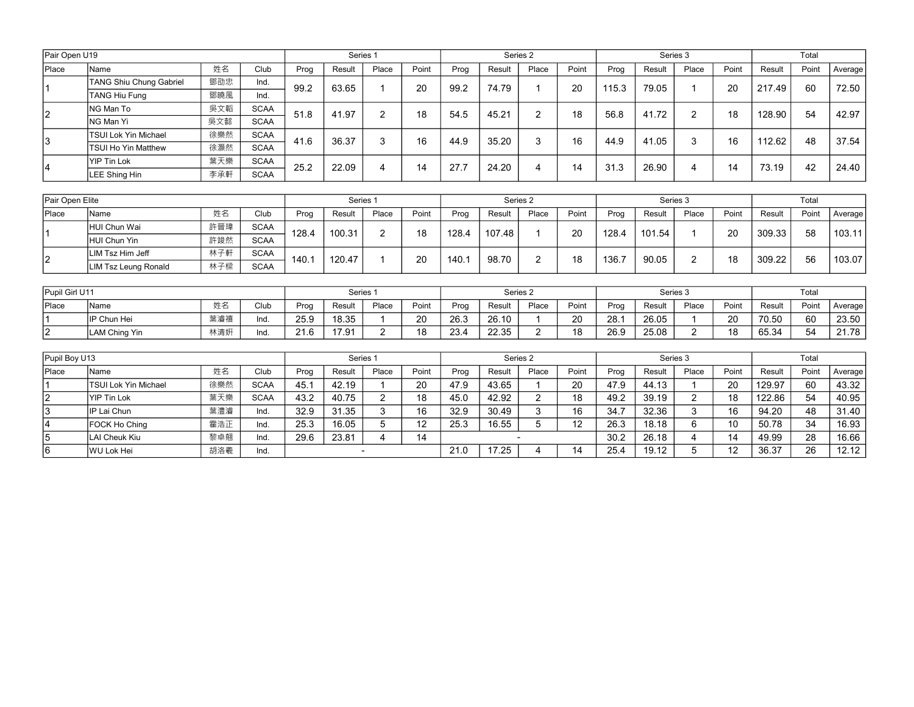| Pair Open U19 |                                |     |             |      | Series 1 |       |       |      |        | Series 2 |       |       |        | Series 3 |       |        | Total |         |
|---------------|--------------------------------|-----|-------------|------|----------|-------|-------|------|--------|----------|-------|-------|--------|----------|-------|--------|-------|---------|
| Place         | Name                           | 姓名  | Club        | Prog | Result   | Place | Point | Prog | Result | Place    | Point | Prog  | Result | Place    | Point | Result | Point | Average |
|               | <b>TANG Shiu Chung Gabriel</b> | 鄧劭忠 | Ind.        | 99.2 | 63.65    |       | 20    | 99.2 | 74.79  |          | 20    | 115.3 | 79.05  |          | 20    | 217.49 | 60    | 72.50   |
|               | TANG Hiu Fung                  | 鄧曉風 | Ind.        |      |          |       |       |      |        |          |       |       |        |          |       |        |       |         |
| 2             | ING Man To                     | 吳文韜 | <b>SCAA</b> | 51.8 | 41.97    | ົ     | 18    | 54.5 | 45.21  | $\sim$   | 18    | 56.8  | 41.72  | ⌒        | 18    | 128.90 | 54    | 42.97   |
|               | NG Man Yi                      | 吳文懿 | <b>SCAA</b> |      |          |       |       |      |        |          |       |       |        |          |       |        |       |         |
| 13            | <b>TSUI Lok Yin Michael</b>    | 徐樂然 | <b>SCAA</b> | 41.6 | 36.37    |       | 16    | 44.9 | 35.20  | ົ        | 16    | 44.9  | 41.05  | 3        | 16    | 112.62 | 48    | 37.54   |
|               | <b>TSUI Ho Yin Matthew</b>     | 徐灝然 | <b>SCAA</b> |      |          |       |       |      |        |          |       |       |        |          |       |        |       |         |
|               | YIP Tin Lok                    | 葉天樂 | <b>SCAA</b> | 25.2 | 22.09    |       | 14    | 27.7 | 24.20  |          | 14    | 31.3  | 26.90  |          | 14    | 73.19  | 42    | 24.40   |
| 14            | LEE Shing Hin                  | 李承軒 | <b>SCAA</b> |      |          |       |       |      |        |          |       |       |        | 4        |       |        |       |         |

| Pair Open Elite |                      |     |             |       | Series 1 |       |       |       | Series 2 |       |       |       |        | Series 3 |       |        | Total |         |
|-----------------|----------------------|-----|-------------|-------|----------|-------|-------|-------|----------|-------|-------|-------|--------|----------|-------|--------|-------|---------|
| <b>Place</b>    | <b>Name</b>          | 姓名  | Club        | Prog  | Result   | Place | Point | Prog  | Result   | Place | Point | Prog  | Result | Place    | Point | Result | Point | Average |
|                 | HUI Chun Wai         | 許晉瑋 | <b>SCAA</b> | 128.4 | 100.31   |       | 18    | 128.4 | 107.48   |       | 20    | 128.4 | 101.54 |          | 20    | 309.33 | 58    | 103.11  |
|                 | HUI Chun Yin         | 許竣然 | <b>SCAA</b> |       |          |       |       |       |          |       |       |       |        |          |       |        |       |         |
| 2               | LIM Tsz Him Jeff     | 林子軒 | <b>SCAA</b> | 140.7 | 120.47   |       | 20    | 140.  | 98.70    |       | 18    | 136.7 | 90.05  |          | 18    | 309.22 | 56    | 103.07  |
|                 | LIM Tsz Leung Ronald | 林子樑 | <b>SCAA</b> |       |          |       |       |       |          |       |       |       |        |          |       |        |       |         |

| Pupil Girl U11 |                    |     |      |                  | Series |       |       |      | Series <sub>2</sub> |       |       |      | Series 3 |       |       |        | Total |           |
|----------------|--------------------|-----|------|------------------|--------|-------|-------|------|---------------------|-------|-------|------|----------|-------|-------|--------|-------|-----------|
| Place          | <b>Name</b>        | 姓名  | Club | Prog             | Resulı | Place | Point | Proc | Result              | Place | Point | Prog | Result   | Place | Point | Result | Point | Average I |
|                | <b>IP Chun Hei</b> | 葉濬禧 | -Ing | 25.9             | 18.35  |       | 20    | 26.3 | 26.10               |       | 20    | 28.1 | 26.05    |       | 20    | 70.50  | 60    | 23.50     |
| ın<br>▵        | LAM Ching Yin      | 林清妍 | lno. | $\Omega$<br>21.O | 17.91  |       | 18    | 23.4 | 22.35               |       | 18    | 26.9 | 25.08    |       | 18    | 65.34  | 54    | 21.78     |

| Pupil Boy U13 |                             |     |             |      | Series 1    |       |       |      | Series 2 |       |       |      | Series 3 |              |       |        | Total |         |
|---------------|-----------------------------|-----|-------------|------|-------------|-------|-------|------|----------|-------|-------|------|----------|--------------|-------|--------|-------|---------|
| Place         | <b>Name</b>                 | 姓名  | Club        | Prog | Result      | Place | Point | Prog | Result   | Place | Point | Prog | Result   | Place        | Point | Result | Point | Average |
|               | <b>TSUI Lok Yin Michael</b> | 徐樂然 | <b>SCAA</b> | 45.1 | 42.19       |       | 20    | 47.9 | 43.65    |       | 20    | 47.9 | 44.13    |              | 20    | 129.97 | 60    | 43.32   |
|               | <b>YIP Tin Lok</b>          | 葉天樂 | <b>SCAA</b> | 43.2 | 40.75       |       | 18    | 45.0 | 42.92    |       | 18    | 49.2 | 39.19    | <sup>o</sup> | 18    | 122.86 | 54    | 40.95   |
| 3             | IP Lai Chun                 | 葉澧濬 | Ind.        | 32.9 | 31.35       |       | 16    | 32.9 | 30.49    |       | 16    | 34.7 | 32.36    |              | 16    | 94.20  | 48    | 31.40   |
| 4             | FOCK Ho Ching               | 霍浩正 | Ind.        | 25.3 | 16.05       |       | 12    | 25.3 | 16.55    |       | 12    | 26.3 | 18.18    | 6            | 10    | 50.78  | 34    | 16.93   |
| 5             | LAI Cheuk Kiu               | 黎卓翹 | Ind.        | 29.6 | 23.81<br>14 |       |       |      |          |       |       | 30.2 | 26.18    |              | 14    | 49.99  | 28    | 16.66   |
| 16            | <b>WU Lok Hei</b>           | 胡洛羲 | Ind.        |      |             |       |       | 21.0 | 7.25     |       | 14    | 25.4 | 19.12    |              | 12    | 36.37  | 26    | 12.12   |